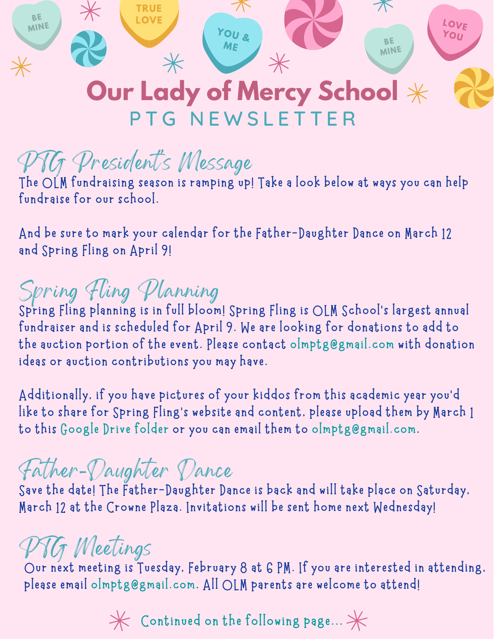

### **Our Lady of Mercy School** PTG NEWSLETTER

# PTG President' s Message

**The OLM fundraising season is ramping up! Take a look below at ways you can help fundraise for our school.**

**And be sure to mark your calendar for the Father-Daughter Dance on March 12 and Spring Fling on April 9!**

## Spring Fling Planning

**Spring Fling planning is in full bloom! Spring Fling is OLM School's largest annual fundraiser and is scheduled for April 9. We are looking for donations to add to the auction portion of the event. Please contact olmptg@gmail.com with donation ideas or auction contributions you may have.**

**Additionally, if you have pictures of your kiddos from this academic year you'd like to share for Spring Fling's website and content, please upload them by March 1 to this [Google](https://drive.google.com/drive/folders/1jJjbkTnO68kkuLLI3VNe3lZlLOPhUSEZ?usp=sharing) Drive folder or you can email them to olmptg@gmail.com.**

### Father-Daughter Dance

**Save the date! The Father-Daughter Dance is back and will take place on Saturday, March 12 at the Crowne Plaza. Invitations will be sent home next Wednesday!**

# PTG Meetings

**Our next meeting is Tuesday, February 8 at 6 PM. If you are interested in attending, please email [olmptg@gmail.com.](mailto:olmptg@gmail.com) All OLM parents are welcome to attend!**

 $*\times$  Continued on the following page...  $*\times$